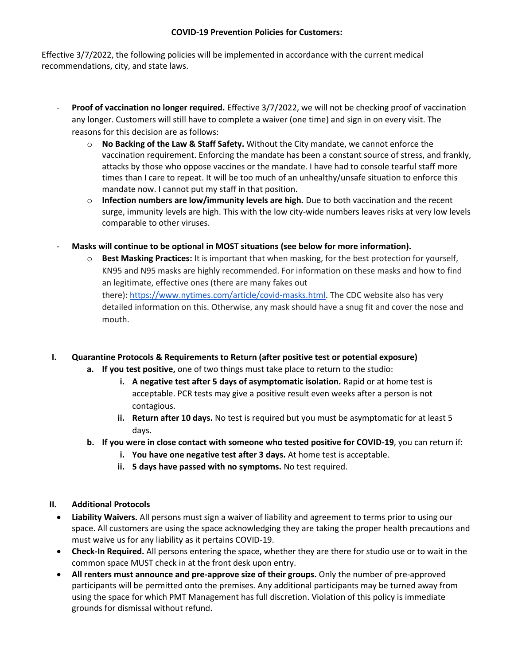## **COVID-19 Prevention Policies for Customers:**

Effective 3/7/2022, the following policies will be implemented in accordance with the current medical recommendations, city, and state laws.

- **Proof of vaccination no longer required.** Effective 3/7/2022, we will not be checking proof of vaccination any longer. Customers will still have to complete a waiver (one time) and sign in on every visit. The reasons for this decision are as follows:
	- o **No Backing of the Law & Staff Safety.** Without the City mandate, we cannot enforce the vaccination requirement. Enforcing the mandate has been a constant source of stress, and frankly, attacks by those who oppose vaccines or the mandate. I have had to console tearful staff more times than I care to repeat. It will be too much of an unhealthy/unsafe situation to enforce this mandate now. I cannot put my staff in that position.
	- o **Infection numbers are low/immunity levels are high.** Due to both vaccination and the recent surge, immunity levels are high. This with the low city-wide numbers leaves risks at very low levels comparable to other viruses.
- **Masks will continue to be optional in MOST situations (see below for more information).** 
	- o **Best Masking Practices:** It is important that when masking, for the best protection for yourself, KN95 and N95 masks are highly recommended. For information on these masks and how to find an legitimate, effective ones (there are many fakes out there): [https://www.nytimes.com/article/covid-masks.html.](https://www.nytimes.com/article/covid-masks.html) The CDC website also has very detailed information on this. Otherwise, any mask should have a snug fit and cover the nose and mouth.

## **I. Quarantine Protocols & Requirements to Return (after positive test or potential exposure)**

- **a. If you test positive,** one of two things must take place to return to the studio:
	- **i. A negative test after 5 days of asymptomatic isolation.** Rapid or at home test is acceptable. PCR tests may give a positive result even weeks after a person is not contagious.
	- **ii. Return after 10 days.** No test is required but you must be asymptomatic for at least 5 days.
- **b. If you were in close contact with someone who tested positive for COVID-19**, you can return if:
	- **i. You have one negative test after 3 days.** At home test is acceptable.
	- **ii. 5 days have passed with no symptoms.** No test required.

## **II. Additional Protocols**

- **Liability Waivers.** All persons must sign a waiver of liability and agreement to terms prior to using our space. All customers are using the space acknowledging they are taking the proper health precautions and must waive us for any liability as it pertains COVID-19.
- **Check-In Required.** All persons entering the space, whether they are there for studio use or to wait in the common space MUST check in at the front desk upon entry.
- **All renters must announce and pre-approve size of their groups.** Only the number of pre-approved participants will be permitted onto the premises. Any additional participants may be turned away from using the space for which PMT Management has full discretion. Violation of this policy is immediate grounds for dismissal without refund.